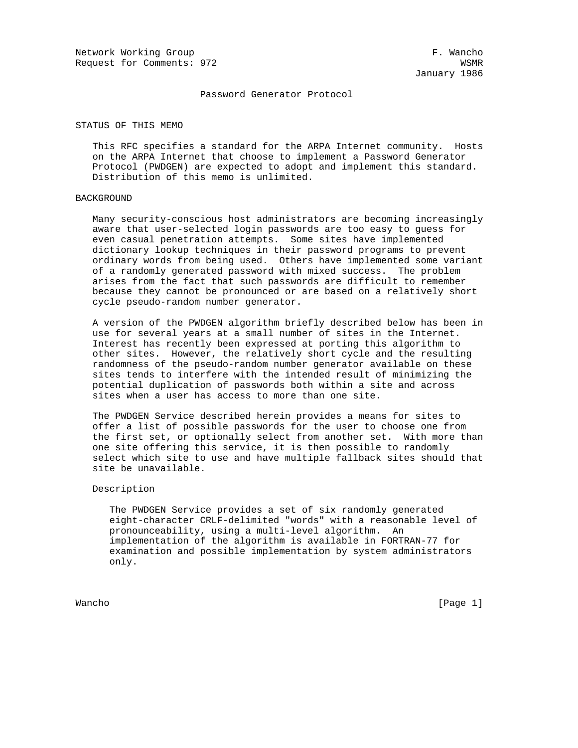Network Working Group **F. Wancho** Request for Comments: 972 WSMR

January 1986

Password Generator Protocol

STATUS OF THIS MEMO

 This RFC specifies a standard for the ARPA Internet community. Hosts on the ARPA Internet that choose to implement a Password Generator Protocol (PWDGEN) are expected to adopt and implement this standard. Distribution of this memo is unlimited.

## BACKGROUND

 Many security-conscious host administrators are becoming increasingly aware that user-selected login passwords are too easy to guess for even casual penetration attempts. Some sites have implemented dictionary lookup techniques in their password programs to prevent ordinary words from being used. Others have implemented some variant of a randomly generated password with mixed success. The problem arises from the fact that such passwords are difficult to remember because they cannot be pronounced or are based on a relatively short cycle pseudo-random number generator.

 A version of the PWDGEN algorithm briefly described below has been in use for several years at a small number of sites in the Internet. Interest has recently been expressed at porting this algorithm to other sites. However, the relatively short cycle and the resulting randomness of the pseudo-random number generator available on these sites tends to interfere with the intended result of minimizing the potential duplication of passwords both within a site and across sites when a user has access to more than one site.

 The PWDGEN Service described herein provides a means for sites to offer a list of possible passwords for the user to choose one from the first set, or optionally select from another set. With more than one site offering this service, it is then possible to randomly select which site to use and have multiple fallback sites should that site be unavailable.

## Description

 The PWDGEN Service provides a set of six randomly generated eight-character CRLF-delimited "words" with a reasonable level of pronounceability, using a multi-level algorithm. An implementation of the algorithm is available in FORTRAN-77 for examination and possible implementation by system administrators only.

Wancho [Page 1]